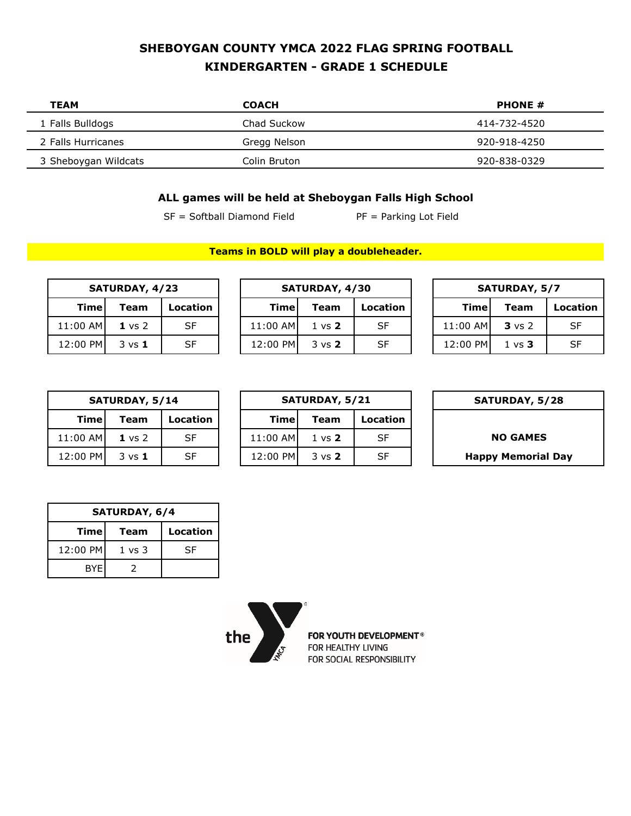## **SHEBOYGAN COUNTY YMCA 2022 FLAG SPRING FOOTBALL KINDERGARTEN - GRADE 1 SCHEDULE**

| TEAM                 | <b>COACH</b> | <b>PHONE #</b> |
|----------------------|--------------|----------------|
| 1 Falls Bulldogs     | Chad Suckow  | 414-732-4520   |
| 2 Falls Hurricanes   | Gregg Nelson | 920-918-4250   |
| 3 Sheboygan Wildcats | Colin Bruton | 920-838-0329   |

## **ALL games will be held at Sheboygan Falls High School**

**Teams in BOLD will play a doubleheader.**

 $SF = Softball Diamond Field$  PF = Parking Lot Field

| SATURDAY, 4/23 |                   | SATURDAY, 4/30 |          |                   |           | <b>SATURDAY, 5/7</b> |          |                   |           |
|----------------|-------------------|----------------|----------|-------------------|-----------|----------------------|----------|-------------------|-----------|
| <b>Time</b>    | Team              | Location       | Timel    | Team              | Location  |                      | Timel    | <b>Team</b>       | Locat     |
| 11:00 AM       | $1 \text{ vs } 2$ | <b>SF</b>      | 11:00 AM | $1 \text{ vs } 2$ | <b>SF</b> |                      | 11:00 AM | $3 \text{ vs } 2$ | <b>SF</b> |
|                |                   |                |          |                   |           |                      |          |                   |           |

| SATURDAY, 4/23 |                   |           |  | SATURDAY, 4/30 |                   |          |  | <b>SATURDAY, 5/7</b> |                   |           |  |
|----------------|-------------------|-----------|--|----------------|-------------------|----------|--|----------------------|-------------------|-----------|--|
| Timel          | Team              | Location  |  | Timel          | Team              | Location |  | Time                 | <b>Team</b>       | Location  |  |
| 11:00 AM       | $1 \text{ vs } 2$ | <b>SF</b> |  | 11:00 AM       | $1 \text{ vs } 2$ | SF       |  | 11:00 AM             | $3 \text{ vs } 2$ | <b>SF</b> |  |
| 12:00 PM       | $3 \text{ vs } 1$ | <b>SF</b> |  | 12:00 PM       | $3 \text{ vs } 2$ | SF       |  | 12:00 PM             | $1 \text{ vs } 3$ | <b>SF</b> |  |

| <b>SATURDAY, 4/30</b> |                   |          | <b>SATURDAY, 5/7</b> |                   |          |  |  |  |
|-----------------------|-------------------|----------|----------------------|-------------------|----------|--|--|--|
| nel                   | Team              | Location | Time                 | Team              | Location |  |  |  |
| AMI                   | $1 \text{ vs } 2$ | SF       | 11:00 AM             | <b>3</b> vs 2     | SF       |  |  |  |
| PM                    | $3 \text{ vs } 2$ | SF       | 12:00 PM             | $1 \text{ vs } 3$ | SF       |  |  |  |

| SATURDAY, 5/14 |                   |          |  |          | <b>SATURDAY, 5/21</b> |       |
|----------------|-------------------|----------|--|----------|-----------------------|-------|
| Timel          | Team              | Location |  | Timel    | Team                  | Locat |
| 11:00 AM       | $1 \vee s$ 2      | SF       |  | 11:00 AM | $1 \text{ vs } 2$     | SF    |
| 12:00 PM       | $3 \text{ vs } 1$ | SF       |  | 12:00 PM | $3 \text{ vs } 2$     | SF    |

| SATURDAY, 5/28            |           | SATURDAY, 5/21    |          |           | SATURDAY, 5/14    |             |  |
|---------------------------|-----------|-------------------|----------|-----------|-------------------|-------------|--|
|                           | Location  | <b>Team</b>       | Timel    | Location  | Team              | <b>Time</b> |  |
| <b>NO GAMES</b>           | SF        | $1 \text{ vs } 2$ | 11:00 AM | SF        | $1 \text{ vs } 2$ | 11:00 AM    |  |
| <b>Happy Memorial Day</b> | <b>SF</b> | $3 \text{ vs } 2$ | 12:00 PM | <b>SF</b> | $3 \text{ vs } 1$ | 12:00 PM    |  |

| SATURDAY, 5/28            |
|---------------------------|
|                           |
| <b>NO GAMES</b>           |
| <b>Happy Memorial Day</b> |

| SATURDAY, 6/4 |        |                 |  |  |  |  |  |  |
|---------------|--------|-----------------|--|--|--|--|--|--|
| Timel         | Team   | <b>Location</b> |  |  |  |  |  |  |
| 12:00 PM      | 1 vs 3 | SF              |  |  |  |  |  |  |
| <b>BYE</b>    |        |                 |  |  |  |  |  |  |



FOR YOUTH DEVELOPMENT® FOR HEALTHY LIVING FOR SOCIAL RESPONSIBILITY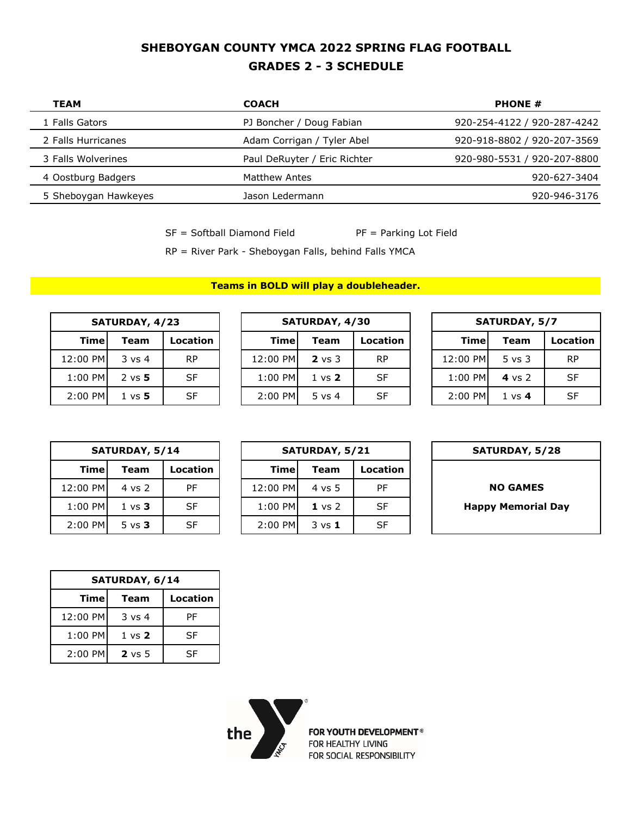## **SHEBOYGAN COUNTY YMCA 2022 SPRING FLAG FOOTBALL GRADES 2 - 3 SCHEDULE**

| TEAM                 | <b>COACH</b>                 | <b>PHONE #</b>              |
|----------------------|------------------------------|-----------------------------|
| 1 Falls Gators       | PJ Boncher / Doug Fabian     | 920-254-4122 / 920-287-4242 |
| 2 Falls Hurricanes   | Adam Corrigan / Tyler Abel   | 920-918-8802 / 920-207-3569 |
| 3 Falls Wolverines   | Paul DeRuyter / Eric Richter | 920-980-5531 / 920-207-8800 |
| 4 Oostburg Badgers   | Matthew Antes                | 920-627-3404                |
| 5 Sheboygan Hawkeyes | Jason Ledermann              | 920-946-3176                |

 $SF = Softball Diamond Field$   $PF = Parking Lot Field$ 

RP = River Park - Sheboygan Falls, behind Falls YMCA

**Teams in BOLD will play a doubleheader.**

| SATURDAY, 4/23 |                   |    |  |  |  |  |  |  |
|----------------|-------------------|----|--|--|--|--|--|--|
| Time           | Location          |    |  |  |  |  |  |  |
| 12:00 PM       | $3$ vs 4          | RP |  |  |  |  |  |  |
| 1:00 PM        | $2 \text{ vs } 5$ | SF |  |  |  |  |  |  |
| 2:00 PM        | $1 \text{ vs } 5$ | SΕ |  |  |  |  |  |  |

| SATURDAY, 4/23 |                   |           |           | SATURDAY, 4/30    |           | <b>SATURDAY, 5/7</b> |                   |           |  |
|----------------|-------------------|-----------|-----------|-------------------|-----------|----------------------|-------------------|-----------|--|
| Timel          | Team              | Location  | Timel     | <b>Team</b>       | Location  | Timel                | <b>Team</b>       | Location  |  |
| 12:00 PM       | $3 \text{ vs } 4$ | <b>RP</b> | 12:00 PM  | $2 \text{ vs } 3$ | <b>RP</b> | 12:00 PM             | $5$ vs $3$        | <b>RP</b> |  |
| $1:00$ PM      | $2 \text{ vs } 5$ | SF        | $1:00$ PM | $1 \text{ vs } 2$ | SF        | $1:00$ PM            | 4 vs 2            | <b>SF</b> |  |
| 2:00 PM        | $1 \text{ vs } 5$ | SF        | $2:00$ PM | $5 \text{ vs } 4$ | SF        | $2:00$ PM            | $1 \text{ vs } 4$ | <b>SF</b> |  |

| <b>SATURDAY, 5/7</b> |                   |          |  |  |  |  |  |
|----------------------|-------------------|----------|--|--|--|--|--|
| Time                 | <b>Team</b>       | Location |  |  |  |  |  |
| 12:00 PM             | $5$ vs $3$        | RP       |  |  |  |  |  |
| 1:00 PM              | 4 vs 2            | SF       |  |  |  |  |  |
| 2:00 PM              | $1 \text{ vs } 4$ | SF       |  |  |  |  |  |

| SATURDAY, 5/14 |                   |           |           | SATURDAY, 5/21    |           |
|----------------|-------------------|-----------|-----------|-------------------|-----------|
| Timel          | Team              | Location  | Timel     | Team              | Locat     |
| 12:00 PM       | 4 vs 2            | PF        | 12:00 PM  | 4 vs 5            | PF        |
| 1:00 PM        | $1 \text{ vs } 3$ | <b>SF</b> | 1:00 PM   | $1 \text{ vs } 2$ | <b>SF</b> |
| 2:00 PM        | $5 \text{ vs } 3$ | SF        | $2:00$ PM | $3 \text{ vs } 1$ | <b>SF</b> |

| <b>SATURDAY, 5/28</b>    |          | SATURDAY, 5/21    |           |  | SATURDAY, 5/14 |                   |       |
|--------------------------|----------|-------------------|-----------|--|----------------|-------------------|-------|
|                          | Location | Team              | Timel     |  | Location       | Team              | Timel |
| <b>NO GAMES</b>          | PF       | $4 \text{ vs } 5$ | 12:00 PM  |  | <b>PF</b>      | 4 vs 2            | 00 PM |
| <b>Happy Memorial Da</b> | SF       | $1 \text{ vs } 2$ | $1:00$ PM |  | <b>SF</b>      | $1 \text{ vs } 3$ | 00 PM |
|                          | SF       | $3 \text{ vs } 1$ | 2:00 PM   |  | <b>SF</b>      | $5 \text{ vs } 3$ | 00 PM |

| <b>SATURDAY, 5/28</b> |  |  |
|-----------------------|--|--|
|                       |  |  |

 $H$ appy Memorial Day

| SATURDAY, 6/14 |                   |    |  |  |  |  |
|----------------|-------------------|----|--|--|--|--|
| Timel          | Location          |    |  |  |  |  |
| 12:00 PM       | $3 \text{ vs } 4$ | PF |  |  |  |  |
| 1:00 PM        | $1 \text{ vs } 2$ | SF |  |  |  |  |
| 2:00 PM        | $2$ vs 5          | SF |  |  |  |  |



FOR YOUTH DEVELOPMENT® FOR HEALTHY LIVING FOR SOCIAL RESPONSIBILITY